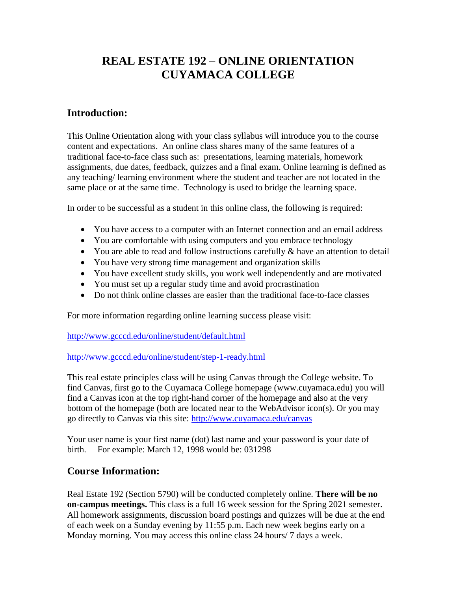## **REAL ESTATE 192 – ONLINE ORIENTATION CUYAMACA COLLEGE**

## **Introduction:**

This Online Orientation along with your class syllabus will introduce you to the course content and expectations. An online class shares many of the same features of a traditional face-to-face class such as: presentations, learning materials, homework assignments, due dates, feedback, quizzes and a final exam. Online learning is defined as any teaching/ learning environment where the student and teacher are not located in the same place or at the same time. Technology is used to bridge the learning space.

In order to be successful as a student in this online class, the following is required:

- You have access to a computer with an Internet connection and an email address
- You are comfortable with using computers and you embrace technology
- You are able to read and follow instructions carefully & have an attention to detail
- You have very strong time management and organization skills
- You have excellent study skills, you work well independently and are motivated
- You must set up a regular study time and avoid procrastination
- Do not think online classes are easier than the traditional face-to-face classes

For more information regarding online learning success please visit:

<http://www.gcccd.edu/online/student/default.html>

<http://www.gcccd.edu/online/student/step-1-ready.html>

This real estate principles class will be using Canvas through the College website. To find Canvas, first go to the Cuyamaca College homepage (www.cuyamaca.edu) you will find a Canvas icon at the top right-hand corner of the homepage and also at the very bottom of the homepage (both are located near to the WebAdvisor icon(s). Or you may go directly to Canvas via this site: [http://www.cuyamaca.edu/canvas](https://www.cuyamaca.edu/canvas) 

Your user name is your first name (dot) last name and your password is your date of birth. For example: March 12, 1998 would be: 031298

## **Course Information:**

Real Estate 192 (Section 5790) will be conducted completely online. **There will be no on-campus meetings.** This class is a full 16 week session for the Spring 2021 semester. All homework assignments, discussion board postings and quizzes will be due at the end of each week on a Sunday evening by 11:55 p.m. Each new week begins early on a Monday morning. You may access this online class 24 hours/ 7 days a week.